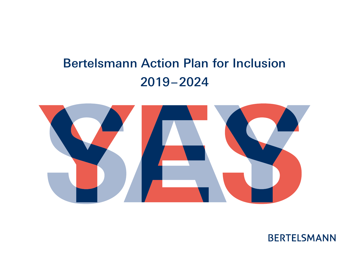## Bertelsmann Action Plan for Inclusion 2019 – 2024



**BERTELSMANN**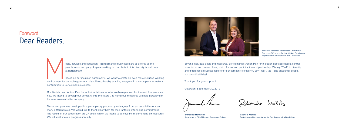### Foreword Dear Readers,

edia, services and education – Bertelsmann's businesses are as diverse as the<br>people in our company. Anyone seeking to contribute to this diversity is welco<br>at Bertelsmann!<br>Based on our inclusion agreements, we want to cre people in our company. Anyone seeking to contribute to this diversity is welcome at Bertelsmann!

Based on our inclusion agreements, we want to create an even more inclusive working environment for our colleagues with disabilities, thereby enabling everyone in the company to make a contribution to Bertelsmann's success.

This action plan was developed in a participatory process by colleagues from across all divisions and many different roles. We would like to thank all of them for their fantastic efforts and commitment! The results of our cooperation are 27 goals, which we intend to achieve by implementing 69 measures. We will evaluate our progress annually.

Our Bertelsmann Action Plan for Inclusion delineates what we have planned for the next five years, and how we intend to develop our company into the future . Its numerous measures will help Bertelsmann become an even better company!

Immanuel Hermreck, Bertelsmann Chief Human Resources Officer and Gabriele McNab, Bertelsmann Representative for Employees with Disabilities

Sabriele Mellat



Beyond individual goals and measures, Bertelsmann's Action Plan for Inclusion also addresses a central issue in our corporate culture, which focuses on participation and partnership. We say "Yes!" to diversity and difference as success factors for our company's creativity. Say "Yes!", too – and encounter people, not their disabilities!

Thank you for your support!

Gütersloh, September 30, 2019

**Immanuel Hermreck** Bertelsmann Chief Human Resources Officer

**Gabriele McNab** Bertelsmann Representative for Employees with Disabilities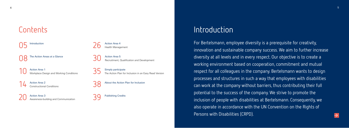## **Contents**

**Introduction** 

**08** The Action Areas at a Glance

10 Action Area 1<br>Workplace Design and Working Conditions

**Action Area 2** Constructional Conditions

20 Action Area 3<br>
Awareness-building and Communication

Action Area 4 Health Management

30 Action Area 5<br>Recruitment, Qualification and Development

Simply participate **Action Plan for Inclusion in an Easy Read Version** 

About the Action Plan for Inclusion

Publishing Credits

## Introduction

For Bertelsmann, employee diversity is a prerequisite for creativity, innovation and sustainable company success. We aim to further increase diversity at all levels and in every respect. Our objective is to create a working environment based on cooperation, commitment and mutual respect for all colleagues in the company. Bertelsmann wants to design processes and structures in such a way that employees with disabilities can work at the company without barriers, thus contributing their full potential to the success of the company. We strive to promote the inclusion of people with disabilities at Bertelsmann. Consequently, we also operate in accordance with the UN Convention on the Rights of Persons with Disabilities (CRPD).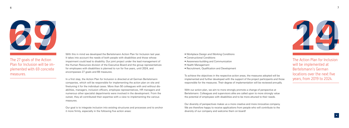

Plan for Inclusion will be im-The 27 goals of the Action plemented with 69 concrete measures.

With this in mind we developed the Bertelsmann Action Plan for Inclusion last year. It takes into account the needs of both people with disabilities and those whose impairment could lead to disability. Our joint project under the lead management of the Human Resources division of the Executive Board and the group representatives for employees with disabilities is planned to run for five years, until 2024, and encompasses 27 goals and 69 measures.

finetuning it for the individual cases. More than 50 colleagues with and without dis-In a first step, the Action Plan for Inclusion is directed at all German Bertelsmann companies, which will be responsible for implementing the action plan on site and abilities, managers, inclusion officers, employee representatives, HR managers and numerous other specialist departments were involved in the development. From the outset, they all contributed their expertise with a view to implementing the various measures.

Our goal is to integrate inclusion into existing structures and processes and to anchor it more firmly, especially in the following five action areas:

- Workplace Design and Working Conditions
- Constructional Conditions
- Awareness-building and Communication
- Health Management
- Recruitment, Qualification and Development

To achieve the objectives in the respective action areas, the measures adopted will be implemented and further developed with the support of the project participants and those responsible for the measures. Their degree of implementation will be reviewed annually.



With our action plan, we aim to more strongly promote a change of perspective at Bertelsmann. Colleagues and supervisors alike are called upon to more strongly value the potential of employees with disabilities and to be more attuned to their needs.

Our diversity of perspectives makes us a more creative and more innovative company. We are therefore happy to receive applications from people who will contribute to the diversity of our company and welcome them on board!

The Action Plan for Inclusion will be implemented at Bertelsmann's German locations over the next five years, from 2019 to 2024.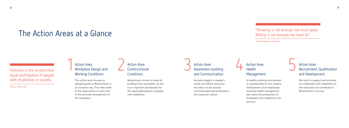## The Action Areas at a Glance

### Inclusion is the unrestricted, equal participation of people with disabilities in society.

### Action Area<br>Workplace D Workplace Design and Working Conditions

Source: CRPD, 2007

Bertelsmann strives to make its buildings fully accessible, as this is an important prerequisite for the equal participation of people with disabilities.

This action area focuses on designing jobs at Bertelsmann in an inclusive way. This refers both to the organization of work and to the concrete arrangement of the workplace.

### **Action Area** Constructional **Conditions**

### 3 Action Area<br>Awareness-Awareness-building and Communication

### Action Area Health Management

### Action Area<br>Recruitment Recruitment, Qualification and Development

We want to support and promote our employees with disabilities so that everyone can contribute to Bertelsmann's success.

Inclusion begins in people's minds and affects everyone – this idea is to be actively communicated and anchored in the corporate culture.

A healthy working environment is a prerequisite for the creative development of all employees. Inclusive health management also takes the perspective of employees with disabilities into account.

"Knowing is not enough, we must apply. Willing is not enough, we must do."

Johann Wolfgang von Goethe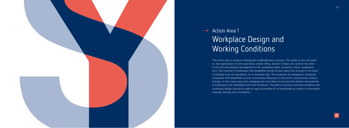

# $\rightarrow$  Action Area 1 Workplace Design and Working Conditions

This action area is all about making jobs at Bertelsmann inclusive. This refers on the one hand to the organization of work (part-time, mobile office, division of labor, etc.) and on the other to the concrete physical arrangement of the workplace (desk, computer, chairs, equipment, etc.). The interests of employees with disabilities should be also taken into account in the event of changes such as relocations, or on business trips. The measures are designed to empower employees with disabilities to work successfully. Measures in this action area promote cultural change, so that supervisors and colleagues are more likely to perceive the abilities and potential of employees with disabilities than their limitations. The path to inclusive working conditions and workplace design should be made as easy as possible for all employees by means of information material, training and consultation.

11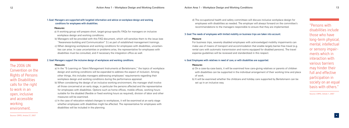The 2006 UN Convention on the Rights of Persons with Disabilities calls for the right to work in an open, inclusive and accessible working environment.

#### **1. Goal: Managers are supported with targeted information and advice on workplace design and working conditions for employees with disabilities.**

#### **Measures:**

- a) A working group will prepare short, target-group-specific FAQs for managers on inclusive workplace design and working conditions.
- b) Managers will be provided with this FAQ document, which will sensitize them to the issue (see "Awareness-building and Communication" 3.) as part of established management trainings.
- c) When designing workplaces and working conditions for employees with disabilities, uncertain ties can arise. In case uncertainties or problems arise, the representative for employees with disabilities must be consulted, and if necessary the integration office as well.

#### **2. Goal: Managers support the inclusive design of workplaces and working conditions.**

#### **Measures:**

- a) In the "E-Learning on Talent Management Instruments at Bertelsmann," the topics of workplace design and working conditions will be expanded to address the aspect of inclusion. Among other things, this includes managers addressing employees' requirements regarding their workplace design and working conditions during the performance appraisal.
- b) When considering the design of an inclusive working environment, the manager shall involve all those concerned at an early stage, in particular the persons affected and the representative for employees with disabilities. Options such as home offices, mobile offices, working hours suitable for the disabled (flexible or fixed working hours as required), division of labor and other measures will be examined.
- c) In the case of relocation-related changes to workplaces, it will be examined at an early stage whether employees with disabilities might be affected. The representative for employees with disabilities will be included in the planning.

- or sensory impair "Persons with disabilities include those who have long-term physical, mental, intellectual ments which in interaction with various barriers may hinder their full and effective participation in society on an equal basis with others."

d) The occupational health and safety committees will discuss inclusive workplace design for employees with disabilities as needed. The employer will always forward on the committee's recommendations to the managers responsible to ensure that they are implemented.

#### **3. Goal: The needs of employees with limited mobility on business trips are taken into account.**

#### **Measure:**

 For business trips, severely disabled employees with acknowledged mobility impairments can make use of means of transport and accommodation that enable largely barrier-free travel (e.g. rental cars with automatic transmission and rooms equipped for disabled persons). The travel expense guidelines will be reviewed and standardized in this respect.

#### **4. Goal: Employees with relatives in need of care, or with disabilities are supported.**

#### **Measures:**

a) On a case-by-case basis, it will be examined how care-giving relatives or parents of children with disabilities can be supported in the individual arrangement of their working time and place

b) It will be examined whether the childcare and holiday care supported by Bertelsmann can be

of work. set up in an inclusive way.

Source: CRPD, Article 1, 2007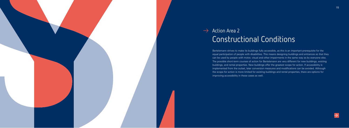

## $\rightarrow$  Action Area 2 Constructional Conditions

Bertelsmann strives to make its buildings fully accessible, as this is an important prerequisite for the equal participation of people with disabilities. This means designing buildings and entrances so that they can be used by people with motor, visual and other impairments in the same way as by everyone else. The possible short-term courses of action for Bertelsmann are very different for new buildings, existing buildings, and rental properties. New buildings offer the greatest scope for action. If accessibility is implemented from the outset, later conversion measures and modifications can be avoided. Although the scope for action is more limited for existing buildings and rental properties, there are options for improving accessibility in these cases as well.

![](_page_7_Picture_3.jpeg)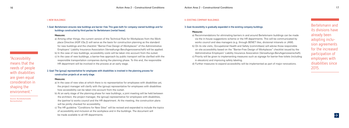"Accessibility means that the needs of people with disabilities are given equal consideration in shaping the environment."

Source: Bundesfachstelle Barrierefreiheit

#### **I. NEW BUILDINGS**

**1. Goal: Bertelsmann ensures new buildings are barrier-free. This goes both for company-owned buildings and for buildings constructed by third parties for Bertelsmann (rental/lease).**

#### **Measures:**

a) Among other things, the current version of the Technical Rule for Workplaces from the Workplace Directive (ASR V3a.2) will serve as the basis for construction planning as the standard for new buildings and the checklist "Barrier-Free Design of Workplaces" of the Administrative Employers' Liability Insurance Association (Verwaltungs-Berufsgenossenschaft) will be applied. b) In the case of new buildings, accessibility costs will be taken into account from the outset. c) In the case of new buildings, a barrier-free approach by public transport will be clarified with the responsible transportation companies during the planning phase. To this end, the responsible HR department will be involved in the process at an early stage.

### **2. Goal: The (group) representative for employees with disabilities is involved in the planning process for construction projects at an early stage.**

#### **Measures:**

- a) In the case of new sites at which there is no representative for employees with disabilities yet, the project manager will clarify with the (group) representative for employees with disabilities how accessibility can be taken into account from the outset.
- b) At an early stage of the planning phase for new buildings, a joint meeting will be held between the architect, the project manager, the (group) representative for employees with disabilities, the (partner's) works council and the HR department. At the meeting, the construction plans will be jointly checked for accessibility.
- c) The HR guideline "Conditions for New Sites" will be revised and expanded to include the topics of accessibility and inclusion at the workplace and in the buildings. The document will be made available to all HR departments.

#### **II. EXISTING COMPANY BUILDINGS**

#### **3. Goal: Accessibility is gradually expanded in the existing company buildings.**

#### **Measures:**

- 
- 
- 
- 
- 
- 

a) Recommendations for eliminating barriers in and around Bertelsmann buildings can be made via the in-house suggestions scheme or the HR departments. This will be communicated by works council and idea managers (e.g. through BENET tiles, divisional intranets or JAM). b) On its site visits, Occupational Health and Safety (committees) will advise those responsible on site accessibility based on the "Barrier-Free Design of Workplaces" checklist issued by the Administrative Employers' Liability Insurance Association (Verwaltungs-Berufsgenossenschaft). c) Priority will be given to implementing measures such as signage for barrier-free toilets (including in elevators) and improving safety labeling.

d) Further measures to expand accessibility will be implemented as part of major renovations.

Bertelsmann and its divisions have already been adopting inclu sion agreements for the increased participation of employees with disabilities since 2015.

![](_page_8_Picture_28.jpeg)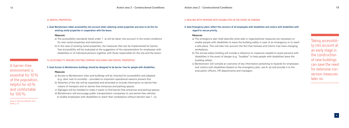A barrier-free environment is essential for 10 % of the population, helpful for 40 % and comfortable for 100 %.

Source: Neumann/Reuber (ed.), 2004, p.13

#### **III. RENTAL PROPERTIES**

**4. Goal: Bertelsmann takes accessibility into account when selecting rental properties and aims to do this for existing rental properties in cooperation with the lessor.** 

#### **Measures:**

- a) The accessibility standards listed under 1. a) will be taken into account in the rental conditions for new rental properties and extensions.
- b) In the case of existing rental properties, the measures that can be implemented for barrierfree accessibility will be evaluated at the suggestion of the representative for employees with disabilities or of individual persons together with those responsible for the site and the lessor.

#### **IV. ACCESSIBILITY AROUND EXISTING COMPANY BUILDINGS AND RENTAL PROPERTIES**

#### **5. Goal: Access to Bertelsmann buildings should be designed to be barrier-free for people with disabilities.**

#### **Measures:**

- a) Access to Bertelsmann sites and buildings will be checked for accessibility and adapted (e.g. door next to turnstile) – provided no important operational reasons prevent this.
- b) Sketches of the site will be expanded and amended to include information on barrier-free means of transport and on barrier-free entrances and parking spaces.
- c) Signages will be installed to make it easier to find barrier-free entrances and parking spaces.
- d) Bertelsmann will encourage public transportation companies to use barrier-free vehicles to enable employees with disabilities to reach their workplaces without barriers (see 1. c)).

#### **V. DEALING WITH PERSONS WITH DISABILITIES IN THE EVENT OF DANGER**

**6. Goal: Emergency plans reflect the concerns of all employees with disabilities and visitors with disabilities with** 

### **regard to rescue priority.**

#### **Measures:**

a) The emergency plan shall describe what aids or organizational measures are necessary to enable people with disabilities to leave the building safely in case of an emergency or to reach a safe place. This will take into account the fact that trainees and interns may have changing

b) The annual safety briefing will include a reference to measures needed to assist persons with disabilities in the event of danger (e.g. "buddies" to help people with disabilities leave the

workplaces. building safely).

c) Bertelsmann will compile an overview of key information pertaining to hazards for employees and visitors with disabilities (based on the emergency plan, see 6. a)) and provide it to the evacuation officers, HR departments and managers.

Taking accessibili ty into account at an early stage in the construction of new buildings can save the need for extensive con version measures later on.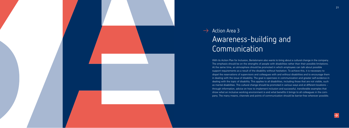![](_page_10_Picture_0.jpeg)

## $\rightarrow$  Action Area 3 Awareness-building and Communication

With its Action Plan for Inclusion, Bertelsmann also wants to bring about a cultural change in the company. The emphasis should be on the strengths of people with disabilities rather than their possible limitations. At the same time, an atmosphere should be promoted in which employees can talk about possible support requirements as a result of the disability without hesitation. To achieve this, it is necessary to dispel the reservations of supervisors and colleagues with and without disabilities and to encourage them in dealing with the issue of disability. The goal is openness in communication and greater self-evidence in dealing with the topic of disability. This applies to all disabilities, including those that are not visible, such as mental disabilities. This cultural change should be promoted in various ways and at different locations – through information, advice on how to implement inclusion and successful, transferable examples that show what an inclusive working environment is and what benefits it brings to all colleagues in the company. The many means, channels and points of communication should be barrier-free wherever possible.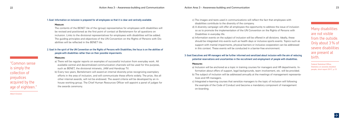"Common sense is simply the collection of prejudices acquired by the age of eighteen."

Albert Einstein

#### **1. Goal: Information on inclusion is prepared for all employees so that it is clear and centrally available.**

#### **Measure:**

- The guiding principles and objectives of the UN Convention on the Rights of Persons with Dis The contents of the BENET tile of the (group) representative for employees with disabilities will be revised and positioned as the first point of contact at Bertelsmann for all questions on inclusion. Links to the divisional representatives for employees with disabilities will be added. abilities will be reflected in the BENET tile.

- other internal awards, will not be endowed. The award criteria will be developed by an in b) Every two years, Bertelsmann will award an internal diversity prize recognizing exemplary efforts in the area of inclusion, and will communicate these efforts widely. The prize, like all house working group. The Chief Human Resources Officer will appoint a panel of judges for the awards ceremony.

#### **2. Goal: In the spirit of the UN Convention on the Rights of Persons with Disabilities, the focus is on the abilities of people with disabilities rather than on their possible impairments.**

#### **Measures:**

a) There will be regular reports on examples of successful inclusion from everyday work. All available central and decentralized communication channels will be used for this purpose, such as BENET, the divisional intranets, JAM and Handicap TV.

a) Inclusion will be anchored as a topic in training courses for managers and HR departments. In-- b) The subject of inclusion will be addressed annually at the meetings of management representa formation about offers of support, legal backgrounds, team involvement, etc. will be provided.

c) The images and texts used in communications will reflect the fact that employees with disabilities contribute to the diversity of the company.

d) A diversity campaign will offer all employees the opportunity to address the issue of inclusion so as to promote the implementation of the UN Convention on the Rights of Persons with

Disabilities in everyday life.

e) Information events on the subject of inclusion will be offered in all divisions. Ideally, these should be integrated into events such as health days or inclusive sports events. Topics such as support with mental impairments, physical barriers or inclusive cooperation can be addressed in this context. These events will be conducted in a barrier-free environment.

**3. Goal: Executives and HR managers will be further informed and sensitized about inclusion with the aim of reducing potential reservations and uncertainties in the recruitment and employment of people with disabilities.**

#### **Measures:**

tives and HR managers. on-boarding.

c) Integrated e-learning courses that sensitize managers to the topic of inclusion will following the example of the Code of Conduct and become a mandatory component of management

Many disabilities are not visible from the outside. Only about 3 % of severe disabilities are present at birth.

Federal Statistical Office, Statistics on severely disabled people, short report 2017, p.13

![](_page_11_Picture_25.jpeg)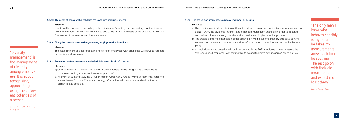"Diversity

management" is the management of diversity among employ ees. It is about recognizing, appreciating and using the differ ent potentials of a person.

Source: Pauser/Wondrak (ed.), 2011, p.27

- Events will be conceived according to the principle of "meeting and celebrating together irrespec tive of differences". Events will be planned and carried out on the basis of the checklist for barrierfree events of the statutory accident insurance.

#### **4. Goal: The needs of people with disabilities are taken into account at events.**

#### **Measure:**

#### **5. Goal: Strengthen peer-to-peer exchanges among employees with disabilities.**

#### **Measure:**

The establishment of a self-organizing network of employees with disabilities will serve to facilitate cross-divisional exchange.

#### **6. Goal: Ensure barrier-free communication to facilitate access to all information.**

- b) The creation and implementation of the action plan will be accompanied by extensive commit - tee work. All relevant committees should be informed about the action plan and its implemen

#### **Measures:**

- a) Communications on BENET and the divisional intranets will be designed as barrier-free as possible according to the "multi-sensory principle".
- b) Relevant documents (e.g. the Group Inclusion Agreement, [Group] works agreements, personnel sheets, letters from the Chairman, strategy information) will be made available in a form as barrier free as possible.

#### **7. Goal: The action plan should reach as many employees as possible.**

#### **Measures:**

a) The creation and implementation of the action plan will be accompanied by communications on BENET, JAM, the divisional intranets and other communication channels in order to generate and maintain interest throughout the entire creation and implementation process.

tation.

c) An inclusion-related question will be incorporated in the 2021 employee survey to assess the awareness of all employees concerning this topic and to derive new measures based on this.

"The only man I know who behaves sensibly is my tailor; he takes my measurements anew each time he sees me. The rest go on with their old measurements and expect me to fit them"

George Bernard Shaw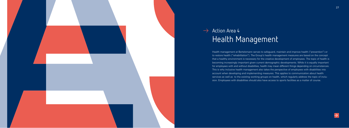![](_page_13_Picture_0.jpeg)

## $\rightarrow$  Action Area 4 Health Management

Health management at Bertelsmann serves to safeguard, maintain and improve health ("prevention") or to restore health ("rehabilitation"). The Group's health management measures are based on the concept that a healthy environment is necessary for the creative development of employees. The topic of health is becoming increasingly important given current demographic developments. While it is equally important for employees with and without disabilities, health may mean different things depending on circumstances. This is why inclusive health management also takes the perspective of employees with disabilities into account when developing and implementing measures. This applies to communication about health services as well as to the existing working groups on health, which regularly address the topic of inclu sion. Employees with disabilities should also have access to sports facilities as a matter of course.

![](_page_13_Picture_3.jpeg)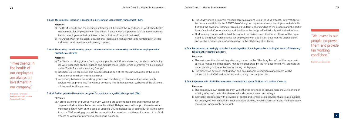"Investments in the health of our employees are always an investment in our company."

Immanuel Hermreck, Bertelsmann Chief Human Resources Officer

#### **1. Goal: The subject of inclusion is expanded in Bertelsmann Group Health Management (BGM).**

#### **Measures:**

- management for employees with disabilities. Relevant contact persons such as the representa a) The BGM website and the divisional intranets will highlight the importance of workplace health tives for employees with disabilities or the inclusion officers will be linked.
- b) The Action Plan for Inclusion, occupational integration management and reintegration will be addressed in all health-related training courses.

- a) The "health working groups" will regularly put the inclusion and working conditions of employ ees with disabilities on their agenda and discuss these topics, which moreover will be included in the "Guide for Health Working Groups".
- b) Inclusion-related topics will also be addressed as part of the regular evaluation of the imple mentation of minimum health standards.
- c) Networking between the working groups and the sharing of ideas about inclusive health services will be promoted. The various company health management websites of the divisions will be used for this purpose.

#### **2. Goal: The existing "health working groups" address the inclusion and working conditions of employees with disabilities at all sites.**

#### **Measures:**

a) A cross-divisional and Group-wide OIM working group comprised of representatives for employees with disabilities the works council and the HR department will support the nationwide implementation of OIM on the basis of updated OIM templates (as of spring 2019). At the same time, the OIM working group will be responsible for questions and the optimization of the OIM process as well as for promoting continuous exchange.

- be made accessible via the BENET tile of the group representative for employees with disabili - ties and the divisional intranets, creating a uniform understanding of the process and the partic - c) OIM training courses will be held throughout the divisions and the Group. These will be orga b) The OIM working group will manage communications using the OIM process. Information will ipants involved. Communication and details can be designed individually within the divisions. nized by the group representative for employees with disabilities, documented on peoplenet and will be a prerequisite for participation in the OIM integration team.

- a) The various options for reintegration, e.g. based on the "Hamburg Model", will be communi cated to managers. If necessary, managers, supported by the HR department, will promote an understanding culture of teamwork during reintegration.

#### **3. Goal: Further promote the uniform design of Occupational Integration Management (OIM).**

#### **Measures:**

### **4. Goal: Bertelsmann increasingly promotes the reintegration of employees after a prolonged period of illness (e.g. following the "Hamburg model").**

#### **Measures:**

b) The difference between reintegration and occupational integration management will be addressed in all OIM and health-related training courses (see 1.b)).

#### **5. Goal: Employees with disabilities have access to events and sports facilities as a matter of course.**

#### **Measures:**

a) The company's own sports program will either be extended to include more inclusive offers or existing offers will be further developed and communicated accordingly.

b) Company cooperation with providers of sports and rehabilitation services that are also suitable for employees with disabilities, such as sports studios, rehabilitation sports and medical supply stores, will increasingly be sought.

"We invest in our people, empower them and provide fair working conditions."

#### Bertelsmann Essentials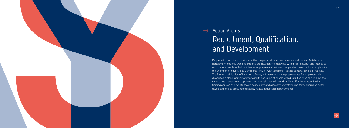![](_page_15_Picture_0.jpeg)

## $\rightarrow$  Action Area 5 Recruitment, Qualification, and Development

- 
- 
- 

People with disabilities contribute to the company's diversity and are very welcome at Bertelsmann. Bertelsmann not only wants to improve the situation of employees with disabilities, but also intends to recruit more people with disabilities as employees and trainees. Cooperation projects, for example with the Chamber of Industry and Commerce (IHK) or with vocational training centers, can be a first step. The further qualification of inclusion officers, HR managers and representatives for employees with disabilities is also essential for improving the situation of people with disabilities, who should have the same career development opportunities as employees without disabilities. For this reason, further training courses and events should be inclusive and assessment systems and forms should be further developed to take account of disability-related reductions in performance.

![](_page_15_Picture_6.jpeg)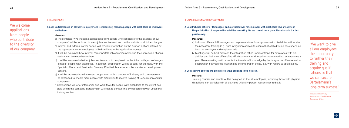We welcome applications from people who contribute to the diversity of our company.

#### **I. RECRUITMENT**

**1. Goal: Bertelsmann is an attractive employer and is increasingly recruiting people with disabilities as employees and trainees.**

#### **Measures:**

- a) The sentence "We welcome applications from people who contribute to the diversity of our company" will be included in every job advertisement and on the website of all job exchanges.
- b) Internal and external career portals will provide information on the support options offered by the representative for employees with disabilities in the application process.
- c) It will be examined how internal career portals, job advertisements and the submission of appli cations can be made barrier-free.
- d) It will be examined whether job advertisements in peoplenet can be linked with job exchanges aimed at people with disabilities. In addition, cooperation will be sought, for example, with the Specialist Placement Service for Severely Disabled Academics or the vocational development centers.
- e) It will be examined to what extent cooperation with chambers of industry and commerce can be expanded to enable more people with disabilities to receive training at Bertelsmann and its companies.
- f) Bertelsmann will offer internships and work trials for people with disabilities to the extent pos sible within the company. Bertelsmann will seek to achieve this by cooperating with vocational training centers.

#### **II. QUALIFICATION AND DEVELOPMENT**

- b) Meetings will be held between the integration office, representative for employees with dis abilities and inclusion officers/the HR department at all locations as required but at least once a year. These meetings will promote the transfer of knowledge by the integration office as well as cooperation between the location and the integration office, e.g. with regard to applications.

**2. Goal: Inclusion officers, HR managers and representatives for employees with disabilities who are active in the participation of people with disabilities in working life are trained to carry out these tasks in the best** 

## **possible way.**

#### **Measures:**

a) Inclusion officers, HR managers and representatives for employees with disabilities will receive the necessary training (e.g. from integration offices) to ensure that each division has experts on both the employee and employer side.

#### **3. Goal: Training courses and events are always designed to be inclusive.**

#### **Measure:**

Training courses and events will be designed so that all employees, including those with physical disabilities, can participate in all activities unless important reasons contradict it.

"We want to give all our employees the opportunity to further their training and acquire qualifi cations so that we can secure Bertelsmann's long-term success."

Immanuel Hermreck, Bertelsmann Chief Human Resources Officer

![](_page_16_Picture_27.jpeg)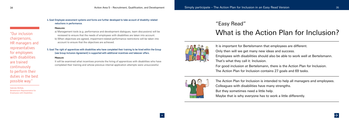"Our inclusion chairpersons, HR managers and representatives for employees with disabilities are trained continuously to perform their duties in the best possible way."

Gabriele McNab, Bertelsmann Representative for Employees with Disabilities

#### **4. Goal: Employee assessment systems and forms are further developed to take account of disability-related reductions in performance.**

#### **Measures:**

- a) Management tools (e.g. performance and development dialogues, team discussions) will be reviewed to ensure that the needs of employees with disabilities are taken into account.
- b) When objectives are agreed, impairment-related performance restrictions will be taken into account to ensure that the objectives are achieved.

#### **5. Goal: The right of apprentices with disabilities who have completed their training to be hired within the Group (see Group Inclusion Agreement) is supported with additional incentives and takeover offers.**

#### **Measure:**

It will be examined what incentives promote the hiring of apprentices with disabilities who have completed their training and whose previous internal application attempts were unsuccessful.

![](_page_17_Picture_9.jpeg)

![](_page_17_Picture_10.jpeg)

 $\bullet$ 

## "Easy Read" What is the Action Plan for Inclusion?

It is important for Bertelsmann that employees are different.

- Only then will we get many new ideas and success.
- Employees with disabilities should also be able to work well at Bertelsmann.
- That's what they call it: Inclusion.
- For good inclusion at Bertelsmann, there is the Action Plan for Inclusion.
- The Action Plan for Inclusion contains 27 goals and 69 tasks.
- The Action Plan for Inclusion is intended to help all managers and employees.
- Colleagues with disabilities have many strengths.
- But they sometimes need a little help.
- Maybe that is why everyone has to work a little differently.

![](_page_17_Picture_27.jpeg)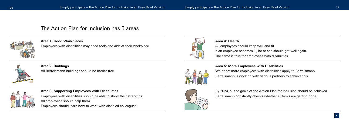### The Action Plan for Inclusion has 5 areas

![](_page_18_Picture_4.jpeg)

### **Area 1: Good Workplaces**

Employees with disabilities may need tools and aids at their workplace.

![](_page_18_Picture_7.jpeg)

### **Area 2: Buildings**

All Bertelsmann buildings should be barrier-free.

![](_page_18_Picture_10.jpeg)

### **Area 3: Supporting Employees with Disabilities**

Employees with disabilities should be able to show their strengths. All employees should help them.

Employees should learn how to work with disabled colleagues.

![](_page_18_Picture_14.jpeg)

![](_page_18_Picture_15.jpeg)

![](_page_18_Picture_16.jpeg)

### **Area 4: Health**

All employees should keep well and fit.

If an employee becomes ill, he or she should get well again.

The same is true for employees with disabilities.

### **Area 5: More Employees with Disabilities**

We hope: more employees with disabilities apply to Bertelsmann. Bertelsmann is working with various partners to achieve this.

By 2024, all the goals of the Action Plan for Inclusion should be achieved. Bertelsmann constantly checks whether all tasks are getting done.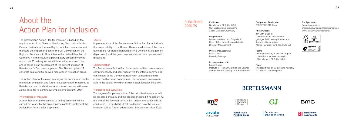## About the Action Plan for Inclusion

The Bertelsmann Action Plan for Inclusion is based on the requirements of the National Monitoring Mechanism for the German Institute for Human Rights, which accompanies and monitors the implementation of the UN Convention on the Rights of Persons with Disabilities in the Federal Republic of Germany. It is the result of a participatory process involving more than 50 colleagues from different divisions and roles and is based on an assessment of the current situation at Bertelsmann's German companies. The Plan comprises 27 concrete goals and 69 derived measures in five action areas.

The Action Plan for Inclusion envisages the coordinated imple mentation, evaluation and further development of measures at Bertelsmann and its divisions. A structured process will serve as the basis for its continuous implementation until 2024.

#### **Prioritization of measures**

A prioritization of the measures to be implemented will be carried out yearly by the project participants to implement the Action Plan for Inclusion as planned.

#### **Control**

Implementation of the Bertelsmann Action Plan for Inclusion is the responsibility of the Human Resources division of the Exec utive Board (Corporate Responsibility & Diversity Management department) and the group representatives for employees with disabilities.

Jan Voth (page 3); Lebenshilfe für Menschen mit geistiger Behinderung Bremen e. V., Illustrator Stefan Albers, Atelier Fleetinsel, 2013 (pp. 35 to 37)

#### **Rights**

#### **Communication**

The Bertelsmann Action Plan for Inclusion will be communicated comprehensively and continuously via the internal communica tions media at the German Bertelsmann companies and dis cussed on the Group committees. The document is also avail able to the public: [www.bertelsmann.de/aktionsplan-inklusion.](http://www.bertelsmann.de/aktionsplan-inklusion)

#### **Monitoring and Evaluation**

The degree of implementation of the prioritized measures will be assessed annually and the process modified if necessary. At the end of the five-year term, a final project evaluation will be conducted. On this basis, it will be decided how the issue of inclusion will be further addressed at Bertelsmann after 2024.

### **PUBLISHING CREDITS**

#### Publisher

Bertelsmann SE & Co. KGaA Carl-Bertelsmann-Straße 270 33311 Gütersloh, Germany

#### Responsible

Marie-Luise Kühn von Burgsdorff Head of Corporate Responsibility & Diversity Management

#### Project management Nora Müller

Diversity Manager

#### In cooperation with

Katrin Grüber Institute for Humanity, Ethics and Science and many other colleagues at Bertelsmann

#### Design and Production TERRITORY CTR GmbH

#### Photo Credits

Any reproduction, in whole or in part, only with the express permission of Bertelsmann SE & Co. KGaA

#### Paper

This report was printed climate-neutrally on fully FSC-certified paper.

#### For Applicants

Recruiting services [createyourowncareer@bertelsmann.de](mailto:createyourowncareer@bertelsmann.de) [www.createyourowncareer.de](http://www.createyourowncareer.de)

![](_page_19_Picture_37.jpeg)

![](_page_19_Picture_38.jpeg)

### **BERTELSMANN**

![](_page_19_Picture_40.jpeg)

Penguin<br>Random House

![](_page_19_Picture_42.jpeg)

![](_page_19_Picture_43.jpeg)

Bertelsmann **Printing Group** 

![](_page_19_Picture_45.jpeg)

![](_page_19_Picture_46.jpeg)

![](_page_19_Picture_47.jpeg)